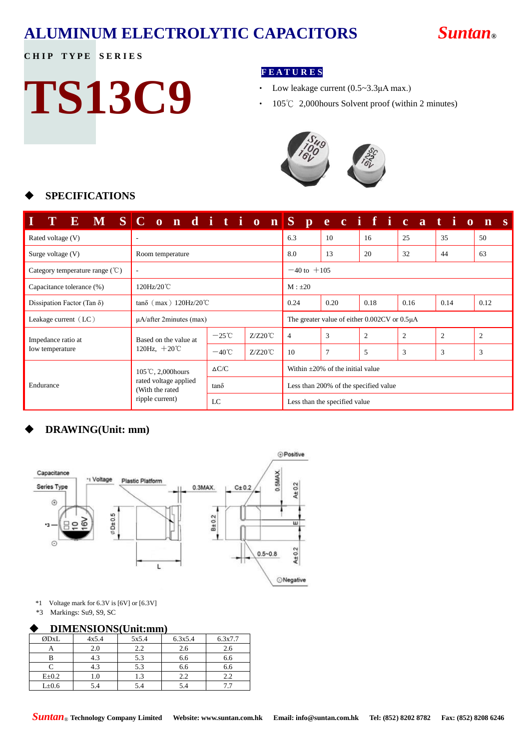### **ALUMINUM ELECTROLYTIC CAPACITORS** *Suntan***®**

#### **CHIP TYPE SERIES**

# **TS13C9**

#### **F E A T U R E S**

- Low leakage current (0.5~3.3μA max.)
- ‧ 105℃ 2,000hours Solvent proof (within 2 minutes)



#### **SPECIFICATIONS**

|                                                        | E M SC onditionS pecificatio                                |                 |                  |                                        |                                                     |      |      |                | $\mathbf{n}$<br>- S |
|--------------------------------------------------------|-------------------------------------------------------------|-----------------|------------------|----------------------------------------|-----------------------------------------------------|------|------|----------------|---------------------|
| Rated voltage (V)                                      |                                                             |                 |                  | 6.3                                    | 10                                                  | 16   | 25   | 35             | 50                  |
| Surge voltage $(V)$                                    | Room temperature                                            |                 |                  | 8.0                                    | 13                                                  | 20   | 32   | 44             | 63                  |
| Category temperature range $(\mathcal{C})$             |                                                             | $-40$ to $+105$ |                  |                                        |                                                     |      |      |                |                     |
| 120Hz/20℃<br>$M : \pm 20$<br>Capacitance tolerance (%) |                                                             |                 |                  |                                        |                                                     |      |      |                |                     |
| Dissipation Factor (Tan $\delta$ )                     | $tan\delta$ (max) 120Hz/20°C                                |                 |                  | 0.24                                   | 0.20                                                | 0.18 | 0.16 | 0.14           | 0.12                |
| Leakage current $(LC)$                                 | $\mu$ A/after 2minutes (max)                                |                 |                  |                                        | The greater value of either $0.002CV$ or $0.5\mu A$ |      |      |                |                     |
| Impedance ratio at                                     | Based on the value at<br>120Hz, $+20^{\circ}$ C             | $-25^{\circ}$ C | $Z/Z20^{\circ}C$ | $\overline{4}$                         | 3                                                   | 2    | 2    | $\overline{c}$ | $\overline{2}$      |
| Iow temperature                                        |                                                             | $-40^{\circ}$ C | $Z/Z20^{\circ}C$ | 10                                     | 7                                                   | 5    | 3    | 3              | 3                   |
|                                                        | $105^{\circ}$ C, 2,000 hours                                | $\Delta C/C$    |                  | Within $\pm 20\%$ of the initial value |                                                     |      |      |                |                     |
| Endurance                                              | rated voltage applied<br>(With the rated<br>ripple current) | $tan\delta$     |                  | Less than 200% of the specified value  |                                                     |      |      |                |                     |
|                                                        |                                                             | LC              |                  | Less than the specified value          |                                                     |      |      |                |                     |

#### **DRAWING(Unit: mm)**



\*1 Voltage mark for 6.3V is [6V] or [6.3V]

\*3 Markings: Su9, S9, SC

#### **DIMENSIONS(Unit:mm)**

| ØDxL       | 4x5.4 | 5x5.4         | 6.3x5.4 | 6.3x7.7 |
|------------|-------|---------------|---------|---------|
|            | 2.0   | $2.2^{\circ}$ | 2.6     | 2.6     |
|            | 4.3   | 5.3           | 6.6     | 6.6     |
|            | 4.3   | 5.3           | 6.6     | 6.6     |
| $E\pm 0.2$ |       | .3            | 2.2     | 2.2     |
| L±0.6      | 5.4   |               | 5.4     |         |